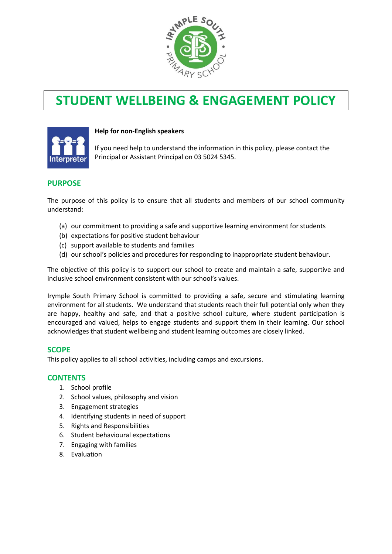

# **STUDENT WELLBEING & ENGAGEMENT POLICY**



### **Help for non-English speakers**

If you need help to understand the information in this policy, please contact the Principal or Assistant Principal on 03 5024 5345.

## **PURPOSE**

The purpose of this policy is to ensure that all students and members of our school community understand:

- (a) our commitment to providing a safe and supportive learning environment for students
- (b) expectations for positive student behaviour
- (c) support available to students and families
- (d) our school's policies and procedures for responding to inappropriate student behaviour.

The objective of this policy is to support our school to create and maintain a safe, supportive and inclusive school environment consistent with our school's values.

Irymple South Primary School is committed to providing a safe, secure and stimulating learning environment for all students. We understand that students reach their full potential only when they are happy, healthy and safe, and that a positive school culture, where student participation is encouraged and valued, helps to engage students and support them in their learning. Our school acknowledges that student wellbeing and student learning outcomes are closely linked.

## **SCOPE**

This policy applies to all school activities, including camps and excursions.

#### **CONTENTS**

- 1. School profile
- 2. School values, philosophy and vision
- 3. Engagement strategies
- 4. Identifying students in need of support
- 5. Rights and Responsibilities
- 6. Student behavioural expectations
- 7. Engaging with families
- 8. Evaluation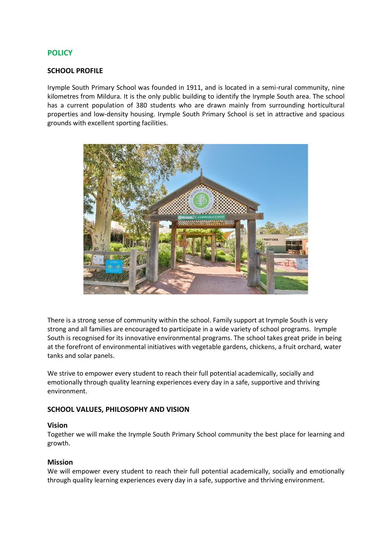## **POLICY**

#### **SCHOOL PROFILE**

Irymple South Primary School was founded in 1911, and is located in a semi-rural community, nine kilometres from Mildura. It is the only public building to identify the Irymple South area. The school has a current population of 380 students who are drawn mainly from surrounding horticultural properties and low-density housing. Irymple South Primary School is set in attractive and spacious grounds with excellent sporting facilities.



There is a strong sense of community within the school. Family support at Irymple South is very strong and all families are encouraged to participate in a wide variety of school programs. Irymple South is recognised for its innovative environmental programs. The school takes great pride in being at the forefront of environmental initiatives with vegetable gardens, chickens, a fruit orchard, water tanks and solar panels.

We strive to empower every student to reach their full potential academically, socially and emotionally through quality learning experiences every day in a safe, supportive and thriving environment.

#### **SCHOOL VALUES, PHILOSOPHY AND VISION**

#### **Vision**

Together we will make the Irymple South Primary School community the best place for learning and growth.

#### **Mission**

We will empower every student to reach their full potential academically, socially and emotionally through quality learning experiences every day in a safe, supportive and thriving environment.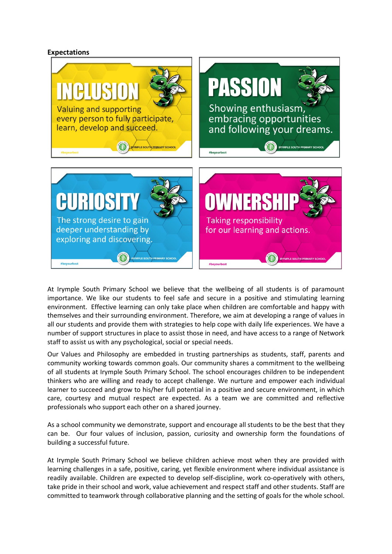#### **Expectations**



At Irymple South Primary School we believe that the wellbeing of all students is of paramount importance. We like our students to feel safe and secure in a positive and stimulating learning environment. Effective learning can only take place when children are comfortable and happy with themselves and their surrounding environment. Therefore, we aim at developing a range of values in all our students and provide them with strategies to help cope with daily life experiences. We have a number of support structures in place to assist those in need, and have access to a range of Network staff to assist us with any psychological, social or special needs.

Our Values and Philosophy are embedded in trusting partnerships as students, staff, parents and community working towards common goals. Our community shares a commitment to the wellbeing of all students at Irymple South Primary School. The school encourages children to be independent thinkers who are willing and ready to accept challenge. We nurture and empower each individual learner to succeed and grow to his/her full potential in a positive and secure environment, in which care, courtesy and mutual respect are expected. As a team we are committed and reflective professionals who support each other on a shared journey.

As a school community we demonstrate, support and encourage all students to be the best that they can be. Our four values of inclusion, passion, curiosity and ownership form the foundations of building a successful future.

At Irymple South Primary School we believe children achieve most when they are provided with learning challenges in a safe, positive, caring, yet flexible environment where individual assistance is readily available. Children are expected to develop self-discipline, work co-operatively with others, take pride in their school and work, value achievement and respect staff and other students. Staff are committed to teamwork through collaborative planning and the setting of goals for the whole school.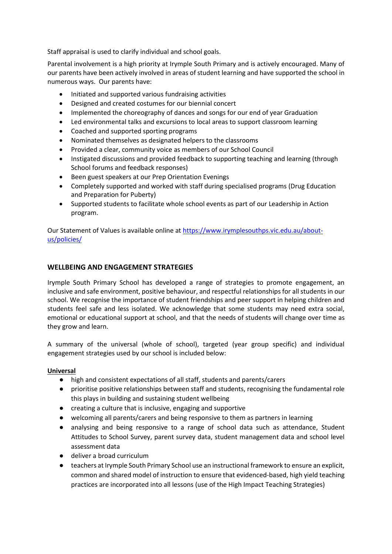Staff appraisal is used to clarify individual and school goals.

Parental involvement is a high priority at Irymple South Primary and is actively encouraged. Many of our parents have been actively involved in areas of student learning and have supported the school in numerous ways. Our parents have:

- Initiated and supported various fundraising activities
- Designed and created costumes for our biennial concert
- Implemented the choreography of dances and songs for our end of year Graduation
- Led environmental talks and excursions to local areas to support classroom learning
- Coached and supported sporting programs
- Nominated themselves as designated helpers to the classrooms
- Provided a clear, community voice as members of our School Council
- Instigated discussions and provided feedback to supporting teaching and learning (through School forums and feedback responses)
- Been guest speakers at our Prep Orientation Evenings
- Completely supported and worked with staff during specialised programs (Drug Education and Preparation for Puberty)
- Supported students to facilitate whole school events as part of our Leadership in Action program.

Our Statement of Values is available online a[t https://www.irymplesouthps.vic.edu.au/about](https://www.irymplesouthps.vic.edu.au/about-us/policies/)[us/policies/](https://www.irymplesouthps.vic.edu.au/about-us/policies/)

## **WELLBEING AND ENGAGEMENT STRATEGIES**

Irymple South Primary School has developed a range of strategies to promote engagement, an inclusive and safe environment, positive behaviour, and respectful relationships for all students in our school. We recognise the importance of student friendships and peer support in helping children and students feel safe and less isolated. We acknowledge that some students may need extra social, emotional or educational support at school, and that the needs of students will change over time as they grow and learn.

A summary of the universal (whole of school), targeted (year group specific) and individual engagement strategies used by our school is included below:

#### **Universal**

- high and consistent expectations of all staff, students and parents/carers
- prioritise positive relationships between staff and students, recognising the fundamental role this plays in building and sustaining student wellbeing
- creating a culture that is inclusive, engaging and supportive
- welcoming all parents/carers and being responsive to them as partners in learning
- analysing and being responsive to a range of school data such as attendance, Student Attitudes to School Survey, parent survey data, student management data and school level assessment data
- deliver a broad curriculum
- teachers at Irymple South Primary School use an instructional framework to ensure an explicit, common and shared model of instruction to ensure that evidenced-based, high yield teaching practices are incorporated into all lessons (use of the High Impact Teaching Strategies)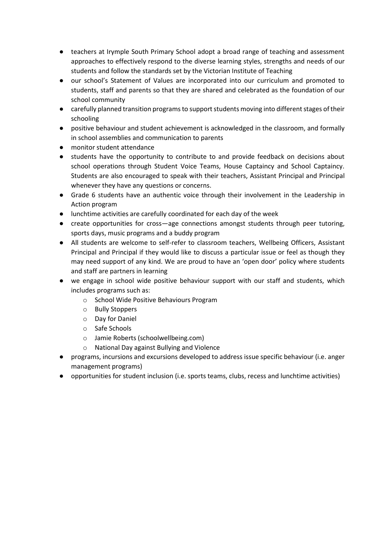- teachers at Irymple South Primary School adopt a broad range of teaching and assessment approaches to effectively respond to the diverse learning styles, strengths and needs of our students and follow the standards set by the Victorian Institute of Teaching
- our school's Statement of Values are incorporated into our curriculum and promoted to students, staff and parents so that they are shared and celebrated as the foundation of our school community
- carefully planned transition programs to support students moving into different stages of their schooling
- positive behaviour and student achievement is acknowledged in the classroom, and formally in school assemblies and communication to parents
- monitor student attendance
- students have the opportunity to contribute to and provide feedback on decisions about school operations through Student Voice Teams, House Captaincy and School Captaincy. Students are also encouraged to speak with their teachers, Assistant Principal and Principal whenever they have any questions or concerns.
- Grade 6 students have an authentic voice through their involvement in the Leadership in Action program
- lunchtime activities are carefully coordinated for each day of the week
- create opportunities for cross—age connections amongst students through peer tutoring, sports days, music programs and a buddy program
- All students are welcome to self-refer to classroom teachers, Wellbeing Officers, Assistant Principal and Principal if they would like to discuss a particular issue or feel as though they may need support of any kind. We are proud to have an 'open door' policy where students and staff are partners in learning
- we engage in school wide positive behaviour support with our staff and students, which includes programs such as:
	- o School Wide Positive Behaviours Program
	- o Bully Stoppers
	- o Day for Daniel
	- o Safe Schools
	- o Jamie Roberts (schoolwellbeing.com)
	- o National Day against Bullying and Violence
- programs, incursions and excursions developed to address issue specific behaviour (i.e. anger management programs)
- opportunities for student inclusion (i.e. sports teams, clubs, recess and lunchtime activities)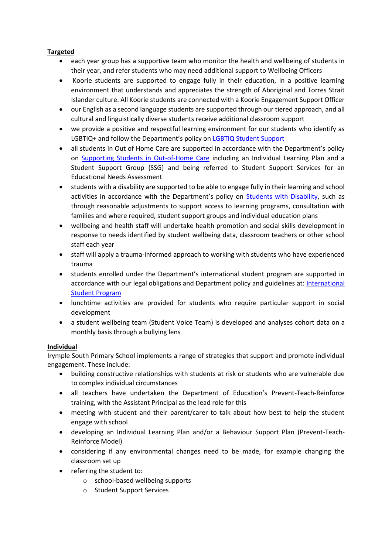## **Targeted**

- each year group has a supportive team who monitor the health and wellbeing of students in their year, and refer students who may need additional support to Wellbeing Officers
- Koorie students are supported to engage fully in their education, in a positive learning environment that understands and appreciates the strength of Aboriginal and Torres Strait Islander culture. All Koorie students are connected with a Koorie Engagement Support Officer
- our English as a second language students are supported through our tiered approach, and all cultural and linguistically diverse students receive additional classroom support
- we provide a positive and respectful learning environment for our students who identify as LGBTIQ+ and follow the Department's policy on LGBTIQ Student Support
- all students in Out of Home Care are supported in accordance with the Department's policy on [Supporting Students in Out-of-Home Care](https://www2.education.vic.gov.au/pal/supporting-students-out-home-care/policy) including an Individual Learning Plan and a Student Support Group (SSG) and being referred to Student Support Services for an Educational Needs Assessment
- students with a disability are supported to be able to engage fully in their learning and school activities in accordance with the Department's policy on [Students with Disability,](https://www2.education.vic.gov.au/pal/students-disability/policy) such as through reasonable adjustments to support access to learning programs, consultation with families and where required, student support groups and individual education plans
- wellbeing and health staff will undertake health promotion and social skills development in response to needs identified by student wellbeing data, classroom teachers or other school staff each year
- staff will apply a trauma-informed approach to working with students who have experienced trauma
- students enrolled under the Department's international student program are supported in accordance with our legal obligations and Department policy and guidelines at: [International](https://www2.education.vic.gov.au/pal/international-student-program/guidance/supporting-students-learning-and-engagement-section-7)  [Student Program](https://www2.education.vic.gov.au/pal/international-student-program/guidance/supporting-students-learning-and-engagement-section-7)
- lunchtime activities are provided for students who require particular support in social development
- a student wellbeing team (Student Voice Team) is developed and analyses cohort data on a monthly basis through a bullying lens

## **Individual**

Irymple South Primary School implements a range of strategies that support and promote individual engagement. These include:

- building constructive relationships with students at risk or students who are vulnerable due to complex individual circumstances
- all teachers have undertaken the Department of Education's Prevent-Teach-Reinforce training, with the Assistant Principal as the lead role for this
- meeting with student and their parent/carer to talk about how best to help the student engage with school
- developing an Individual Learning Plan and/or a Behaviour Support Plan (Prevent-Teach-Reinforce Model)
- considering if any environmental changes need to be made, for example changing the classroom set up
- referring the student to:
	- o school-based wellbeing supports
	- o Student Support Services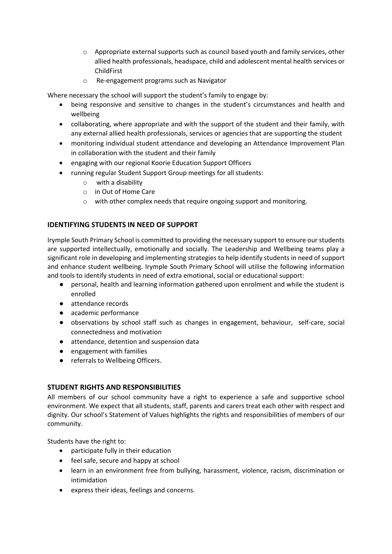- o Appropriate external supports such as council based youth and family services, other allied health professionals, headspace, child and adolescent mental health services or ChildFirst
- o Re-engagement programs such as Navigator

Where necessary the school will support the student's family to engage by:

- being responsive and sensitive to changes in the student's circumstances and health and wellbeing
- collaborating, where appropriate and with the support of the student and their family, with any external allied health professionals, services or agencies that are supporting the student
- monitoring individual student attendance and developing an Attendance Improvement Plan in collaboration with the student and their family
- engaging with our regional Koorie Education Support Officers
- running regular Student Support Group meetings for all students:
	- o with a disability
	- o in Out of Home Care
	- o with other complex needs that require ongoing support and monitoring.

# **IDENTIFYING STUDENTS IN NEED OF SUPPORT**

Irymple South Primary School is committed to providing the necessary support to ensure our students are supported intellectually, emotionally and socially. The Leadership and Wellbeing teams play a significant role in developing and implementing strategies to help identify students in need of support and enhance student wellbeing. Irymple South Primary School will utilise the following information and tools to identify students in need of extra emotional, social or educational support:

- personal, health and learning information gathered upon enrolment and while the student is enrolled
- attendance records
- academic performance
- observations by school staff such as changes in engagement, behaviour, self-care, social connectedness and motivation
- attendance, detention and suspension data
- engagement with families
- referrals to Wellbeing Officers.

## **STUDENT RIGHTS AND RESPONSIBILITIES**

All members of our school community have a right to experience a safe and supportive school environment. We expect that all students, staff, parents and carers treat each other with respect and dignity. Our school's Statement of Values highlights the rights and responsibilities of members of our community.

Students have the right to:

- participate fully in their education
- feel safe, secure and happy at school
- learn in an environment free from bullying, harassment, violence, racism, discrimination or intimidation
- express their ideas, feelings and concerns.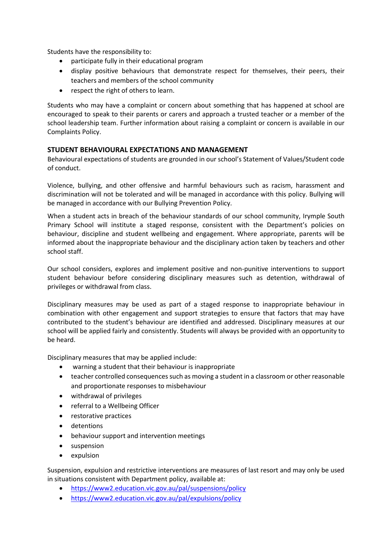Students have the responsibility to:

- participate fully in their educational program
- display positive behaviours that demonstrate respect for themselves, their peers, their teachers and members of the school community
- respect the right of others to learn.

Students who may have a complaint or concern about something that has happened at school are encouraged to speak to their parents or carers and approach a trusted teacher or a member of the school leadership team. Further information about raising a complaint or concern is available in our Complaints Policy.

## **STUDENT BEHAVIOURAL EXPECTATIONS AND MANAGEMENT**

Behavioural expectations of students are grounded in our school's Statement of Values/Student code of conduct.

Violence, bullying, and other offensive and harmful behaviours such as racism, harassment and discrimination will not be tolerated and will be managed in accordance with this policy. Bullying will be managed in accordance with our Bullying Prevention Policy.

When a student acts in breach of the behaviour standards of our school community, Irymple South Primary School will institute a staged response, consistent with the Department's policies on behaviour, discipline and student wellbeing and engagement. Where appropriate, parents will be informed about the inappropriate behaviour and the disciplinary action taken by teachers and other school staff.

Our school considers, explores and implement positive and non-punitive interventions to support student behaviour before considering disciplinary measures such as detention, withdrawal of privileges or withdrawal from class.

Disciplinary measures may be used as part of a staged response to inappropriate behaviour in combination with other engagement and support strategies to ensure that factors that may have contributed to the student's behaviour are identified and addressed. Disciplinary measures at our school will be applied fairly and consistently. Students will always be provided with an opportunity to be heard.

Disciplinary measures that may be applied include:

- warning a student that their behaviour is inappropriate
- teacher controlled consequences such as moving a student in a classroom or other reasonable and proportionate responses to misbehaviour
- withdrawal of privileges
- referral to a Wellbeing Officer
- restorative practices
- detentions
- behaviour support and intervention meetings
- suspension
- expulsion

Suspension, expulsion and restrictive interventions are measures of last resort and may only be used in situations consistent with Department policy, available at:

- <https://www2.education.vic.gov.au/pal/suspensions/policy>
- <https://www2.education.vic.gov.au/pal/expulsions/policy>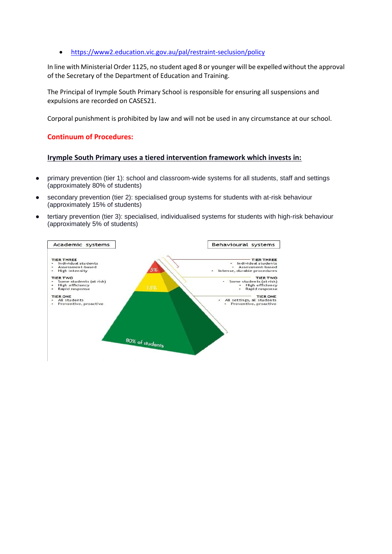• <https://www2.education.vic.gov.au/pal/restraint-seclusion/policy>

In line with Ministerial Order 1125, no student aged 8 or younger will be expelled without the approval of the Secretary of the Department of Education and Training.

The Principal of Irymple South Primary School is responsible for ensuring all suspensions and expulsions are recorded on CASES21.

Corporal punishment is prohibited by law and will not be used in any circumstance at our school.

### **Continuum of Procedures:**

#### **Irymple South Primary uses a tiered intervention framework which invests in:**

- primary prevention (tier 1): school and classroom-wide systems for all students, staff and settings (approximately 80% of students)
- secondary prevention (tier 2): specialised group systems for students with at-risk behaviour (approximately 15% of students)
- tertiary prevention (tier 3): specialised, individualised systems for students with high-risk behaviour (approximately 5% of students)

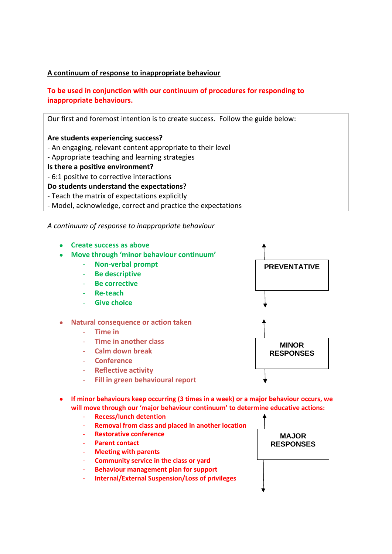# **A continuum of response to inappropriate behaviour**

# **To be used in conjunction with our continuum of procedures for responding to inappropriate behaviours.**

Our first and foremost intention is to create success. Follow the guide below: **Are students experiencing success?** - An engaging, relevant content appropriate to their level - Appropriate teaching and learning strategies **Is there a positive environment?** - 6:1 positive to corrective interactions **Do students understand the expectations?** - Teach the matrix of expectations explicitly - Model, acknowledge, correct and practice the expectations

*A continuum of response to inappropriate behaviour*



- If minor behaviours keep occurring (3 times in a week) or a major behaviour occurs, we **will move through our 'major behaviour continuum' to determine educative actions:**
	- **Recess/lunch detention**
	- **Removal from class and placed in another location**
	- **Restorative conference**
	- **Parent contact**
	- **Meeting with parents**
	- **Community service in the class or yard**
	- **Behaviour management plan for support**
	- **Internal/External Suspension/Loss of privileges**

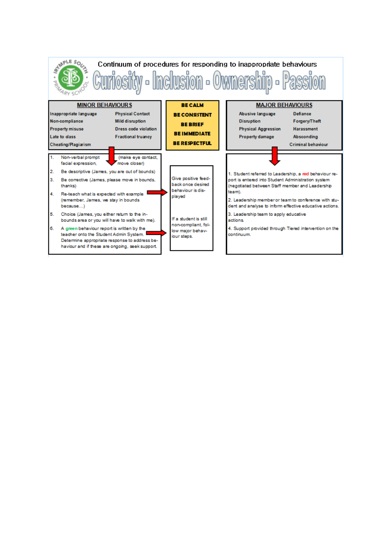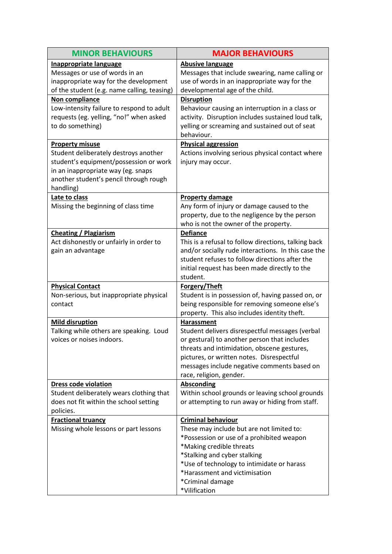| <b>MINOR BEHAVIOURS</b>                             | <b>MAJOR BEHAVIOURS</b>                              |
|-----------------------------------------------------|------------------------------------------------------|
| <b>Inappropriate language</b>                       | <b>Abusive language</b>                              |
| Messages or use of words in an                      | Messages that include swearing, name calling or      |
| inappropriate way for the development               | use of words in an inappropriate way for the         |
| of the student (e.g. name calling, teasing)         | developmental age of the child.                      |
| Non compliance                                      | <b>Disruption</b>                                    |
| Low-intensity failure to respond to adult           | Behaviour causing an interruption in a class or      |
| requests (eg. yelling, "no!" when asked             | activity. Disruption includes sustained loud talk,   |
| to do something)                                    | yelling or screaming and sustained out of seat       |
|                                                     | behaviour.                                           |
| <b>Property misuse</b>                              | <b>Physical aggression</b>                           |
| Student deliberately destroys another               | Actions involving serious physical contact where     |
| student's equipment/possession or work              | injury may occur.                                    |
| in an inappropriate way (eg. snaps                  |                                                      |
| another student's pencil through rough<br>handling) |                                                      |
| Late to class                                       | <b>Property damage</b>                               |
| Missing the beginning of class time                 | Any form of injury or damage caused to the           |
|                                                     | property, due to the negligence by the person        |
|                                                     | who is not the owner of the property.                |
| <b>Cheating / Plagiarism</b>                        | <b>Defiance</b>                                      |
| Act dishonestly or unfairly in order to             | This is a refusal to follow directions, talking back |
| gain an advantage                                   | and/or socially rude interactions. In this case the  |
|                                                     | student refuses to follow directions after the       |
|                                                     | initial request has been made directly to the        |
|                                                     | student.                                             |
| <b>Physical Contact</b>                             | Forgery/Theft                                        |
| Non-serious, but inappropriate physical             | Student is in possession of, having passed on, or    |
| contact                                             | being responsible for removing someone else's        |
|                                                     | property. This also includes identity theft.         |
| <b>Mild disruption</b>                              | Harassment                                           |
| Talking while others are speaking. Loud             | Student delivers disrespectful messages (verbal      |
| voices or noises indoors.                           | or gestural) to another person that includes         |
|                                                     | threats and intimidation, obscene gestures,          |
|                                                     | pictures, or written notes. Disrespectful            |
|                                                     | messages include negative comments based on          |
| <b>Dress code violation</b>                         | race, religion, gender.<br><b>Absconding</b>         |
| Student deliberately wears clothing that            | Within school grounds or leaving school grounds      |
| does not fit within the school setting              | or attempting to run away or hiding from staff.      |
| policies.                                           |                                                      |
| <b>Fractional truancy</b>                           | <b>Criminal behaviour</b>                            |
| Missing whole lessons or part lessons               | These may include but are not limited to:            |
|                                                     | *Possession or use of a prohibited weapon            |
|                                                     | *Making credible threats                             |
|                                                     | *Stalking and cyber stalking                         |
|                                                     | *Use of technology to intimidate or harass           |
|                                                     | *Harassment and victimisation                        |
|                                                     | *Criminal damage                                     |
|                                                     | *Vilification                                        |